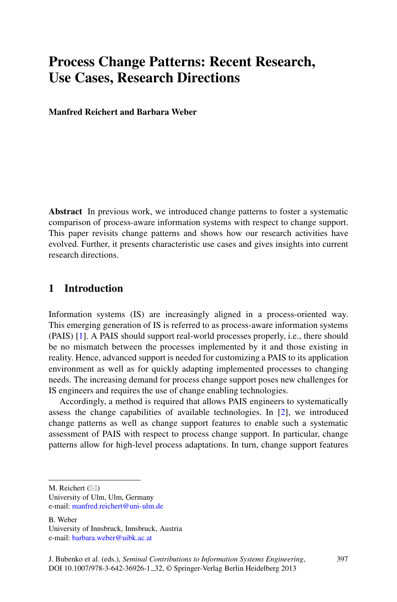# **Process Change Patterns: Recent Research, Use Cases, Research Directions**

**Manfred Reichert and Barbara Weber**

**Abstract** In previous work, we introduced change patterns to foster a systematic comparison of process-aware information systems with respect to change support. This paper revisits change patterns and shows how our research activities have evolved. Further, it presents characteristic use cases and gives insights into current research directions.

## **1 Introduction**

Information systems (IS) are increasingly aligned in a process-oriented way. This emerging generation of IS is referred to as process-aware information systems (PAIS) [\[1\]](#page-6-0). A PAIS should support real-world processes properly, i.e., there should be no mismatch between the processes implemented by it and those existing in reality. Hence, advanced support is needed for customizing a PAIS to its application environment as well as for quickly adapting implemented processes to changing needs. The increasing demand for process change support poses new challenges for IS engineers and requires the use of change enabling technologies.

Accordingly, a method is required that allows PAIS engineers to systematically assess the change capabilities of available technologies. In [\[2\]](#page-6-1), we introduced change patterns as well as change support features to enable such a systematic assessment of PAIS with respect to process change support. In particular, change patterns allow for high-level process adaptations. In turn, change support features

M. Reichert  $(\boxtimes)$ 

University of Ulm, Ulm, Germany e-mail: [manfred.reichert@uni-ulm.de](mailto:manfred.reichert@uni-ulm.de)

B. Weber University of Innsbruck, Innsbruck, Austria e-mail: [barbara.weber@uibk.ac.at](mailto:barbara.weber@uibk.ac.at)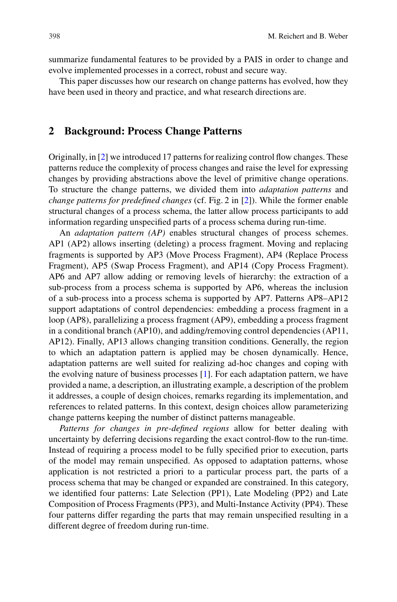summarize fundamental features to be provided by a PAIS in order to change and evolve implemented processes in a correct, robust and secure way.

This paper discusses how our research on change patterns has evolved, how they have been used in theory and practice, and what research directions are.

### **2 Background: Process Change Patterns**

Originally, in [\[2\]](#page-6-1) we introduced 17 patterns for realizing control flow changes. These patterns reduce the complexity of process changes and raise the level for expressing changes by providing abstractions above the level of primitive change operations. To structure the change patterns, we divided them into *adaptation patterns* and *change patterns for predefined changes* (cf. Fig. 2 in [\[2\]](#page-6-1)). While the former enable structural changes of a process schema, the latter allow process participants to add information regarding unspecified parts of a process schema during run-time.

An *adaptation pattern (AP)* enables structural changes of process schemes. AP1 (AP2) allows inserting (deleting) a process fragment. Moving and replacing fragments is supported by AP3 (Move Process Fragment), AP4 (Replace Process Fragment), AP5 (Swap Process Fragment), and AP14 (Copy Process Fragment). AP6 and AP7 allow adding or removing levels of hierarchy: the extraction of a sub-process from a process schema is supported by AP6, whereas the inclusion of a sub-process into a process schema is supported by AP7. Patterns AP8–AP12 support adaptations of control dependencies: embedding a process fragment in a loop (AP8), parallelizing a process fragment (AP9), embedding a process fragment in a conditional branch (AP10), and adding/removing control dependencies (AP11, AP12). Finally, AP13 allows changing transition conditions. Generally, the region to which an adaptation pattern is applied may be chosen dynamically. Hence, adaptation patterns are well suited for realizing ad-hoc changes and coping with the evolving nature of business processes [\[1\]](#page-6-0). For each adaptation pattern, we have provided a name, a description, an illustrating example, a description of the problem it addresses, a couple of design choices, remarks regarding its implementation, and references to related patterns. In this context, design choices allow parameterizing change patterns keeping the number of distinct patterns manageable.

*Patterns for changes in pre-defined regions* allow for better dealing with uncertainty by deferring decisions regarding the exact control-flow to the run-time. Instead of requiring a process model to be fully specified prior to execution, parts of the model may remain unspecified. As opposed to adaptation patterns, whose application is not restricted a priori to a particular process part, the parts of a process schema that may be changed or expanded are constrained. In this category, we identified four patterns: Late Selection (PP1), Late Modeling (PP2) and Late Composition of Process Fragments (PP3), and Multi-Instance Activity (PP4). These four patterns differ regarding the parts that may remain unspecified resulting in a different degree of freedom during run-time.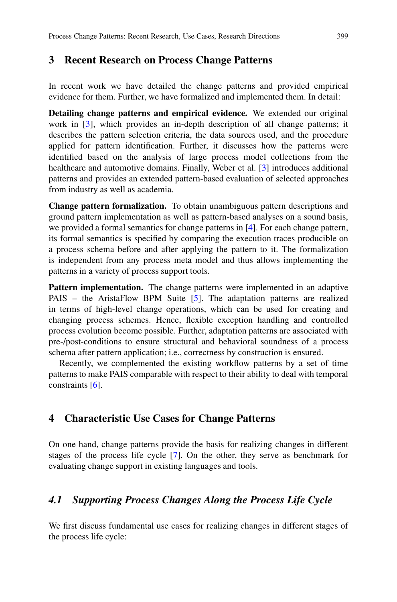#### **3 Recent Research on Process Change Patterns**

In recent work we have detailed the change patterns and provided empirical evidence for them. Further, we have formalized and implemented them. In detail:

**Detailing change patterns and empirical evidence.** We extended our original work in [\[3\]](#page-6-2), which provides an in-depth description of all change patterns; it describes the pattern selection criteria, the data sources used, and the procedure applied for pattern identification. Further, it discusses how the patterns were identified based on the analysis of large process model collections from the healthcare and automotive domains. Finally, Weber et al. [\[3\]](#page-6-2) introduces additional patterns and provides an extended pattern-based evaluation of selected approaches from industry as well as academia.

**Change pattern formalization.** To obtain unambiguous pattern descriptions and ground pattern implementation as well as pattern-based analyses on a sound basis, we provided a formal semantics for change patterns in [\[4\]](#page-6-3). For each change pattern, its formal semantics is specified by comparing the execution traces producible on a process schema before and after applying the pattern to it. The formalization is independent from any process meta model and thus allows implementing the patterns in a variety of process support tools.

**Pattern implementation.** The change patterns were implemented in an adaptive PAIS – the AristaFlow BPM Suite [\[5\]](#page-6-4). The adaptation patterns are realized in terms of high-level change operations, which can be used for creating and changing process schemes. Hence, flexible exception handling and controlled process evolution become possible. Further, adaptation patterns are associated with pre-/post-conditions to ensure structural and behavioral soundness of a process schema after pattern application; i.e., correctness by construction is ensured.

Recently, we complemented the existing workflow patterns by a set of time patterns to make PAIS comparable with respect to their ability to deal with temporal constraints [\[6\]](#page-6-5).

## **4 Characteristic Use Cases for Change Patterns**

On one hand, change patterns provide the basis for realizing changes in different stages of the process life cycle [\[7\]](#page-6-6). On the other, they serve as benchmark for evaluating change support in existing languages and tools.

### *4.1 Supporting Process Changes Along the Process Life Cycle*

We first discuss fundamental use cases for realizing changes in different stages of the process life cycle: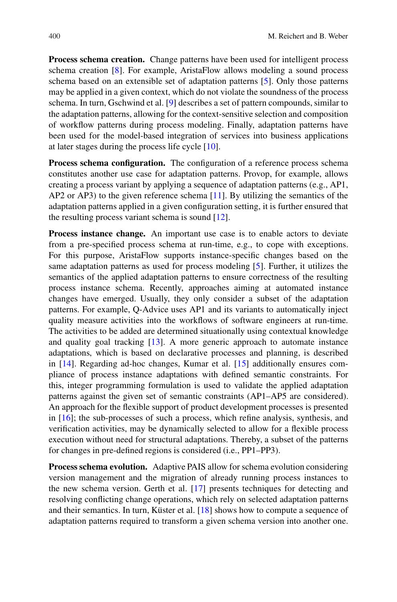**Process schema creation.** Change patterns have been used for intelligent process schema creation [\[8\]](#page-6-7). For example, AristaFlow allows modeling a sound process schema based on an extensible set of adaptation patterns [\[5\]](#page-6-4). Only those patterns may be applied in a given context, which do not violate the soundness of the process schema. In turn, Gschwind et al. [\[9\]](#page-6-8) describes a set of pattern compounds, similar to the adaptation patterns, allowing for the context-sensitive selection and composition of workflow patterns during process modeling. Finally, adaptation patterns have been used for the model-based integration of services into business applications at later stages during the process life cycle [\[10\]](#page-6-9).

**Process schema configuration.** The configuration of a reference process schema constitutes another use case for adaptation patterns. Provop, for example, allows creating a process variant by applying a sequence of adaptation patterns (e.g., AP1, AP2 or AP3) to the given reference schema [\[11\]](#page-6-10). By utilizing the semantics of the adaptation patterns applied in a given configuration setting, it is further ensured that the resulting process variant schema is sound [\[12\]](#page-6-11).

**Process instance change.** An important use case is to enable actors to deviate from a pre-specified process schema at run-time, e.g., to cope with exceptions. For this purpose, AristaFlow supports instance-specific changes based on the same adaptation patterns as used for process modeling [\[5\]](#page-6-4). Further, it utilizes the semantics of the applied adaptation patterns to ensure correctness of the resulting process instance schema. Recently, approaches aiming at automated instance changes have emerged. Usually, they only consider a subset of the adaptation patterns. For example, Q-Advice uses AP1 and its variants to automatically inject quality measure activities into the workflows of software engineers at run-time. The activities to be added are determined situationally using contextual knowledge and quality goal tracking  $[13]$ . A more generic approach to automate instance adaptations, which is based on declarative processes and planning, is described in [\[14\]](#page-6-13). Regarding ad-hoc changes, Kumar et al. [\[15\]](#page-6-14) additionally ensures compliance of process instance adaptations with defined semantic constraints. For this, integer programming formulation is used to validate the applied adaptation patterns against the given set of semantic constraints (AP1–AP5 are considered). An approach for the flexible support of product development processes is presented in [\[16\]](#page-6-15); the sub-processes of such a process, which refine analysis, synthesis, and verification activities, may be dynamically selected to allow for a flexible process execution without need for structural adaptations. Thereby, a subset of the patterns for changes in pre-defined regions is considered (i.e., PP1–PP3).

**Process schema evolution.** Adaptive PAIS allow for schema evolution considering version management and the migration of already running process instances to the new schema version. Gerth et al. [\[17\]](#page-6-16) presents techniques for detecting and resolving conflicting change operations, which rely on selected adaptation patterns and their semantics. In turn, Küster et al.  $[18]$  shows how to compute a sequence of adaptation patterns required to transform a given schema version into another one.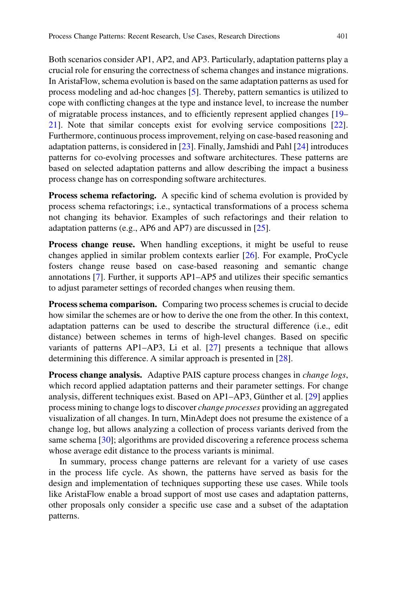Both scenarios consider AP1, AP2, and AP3. Particularly, adaptation patterns play a crucial role for ensuring the correctness of schema changes and instance migrations. In AristaFlow, schema evolution is based on the same adaptation patterns as used for process modeling and ad-hoc changes [\[5\]](#page-6-4). Thereby, pattern semantics is utilized to cope with conflicting changes at the type and instance level, to increase the number of migratable process instances, and to efficiently represent applied changes [\[19–](#page-6-18) [21\]](#page-6-19). Note that similar concepts exist for evolving service compositions [\[22\]](#page-6-20). Furthermore, continuous process improvement, relying on case-based reasoning and adaptation patterns, is considered in [\[23\]](#page-6-21). Finally, Jamshidi and Pahl [\[24\]](#page-6-22) introduces patterns for co-evolving processes and software architectures. These patterns are based on selected adaptation patterns and allow describing the impact a business process change has on corresponding software architectures.

**Process schema refactoring.** A specific kind of schema evolution is provided by process schema refactorings; i.e., syntactical transformations of a process schema not changing its behavior. Examples of such refactorings and their relation to adaptation patterns (e.g., AP6 and AP7) are discussed in [\[25\]](#page-7-0).

**Process change reuse.** When handling exceptions, it might be useful to reuse changes applied in similar problem contexts earlier [\[26\]](#page-7-1). For example, ProCycle fosters change reuse based on case-based reasoning and semantic change annotations [\[7\]](#page-6-6). Further, it supports AP1–AP5 and utilizes their specific semantics to adjust parameter settings of recorded changes when reusing them.

**Process schema comparison.** Comparing two process schemes is crucial to decide how similar the schemes are or how to derive the one from the other. In this context, adaptation patterns can be used to describe the structural difference (i.e., edit distance) between schemes in terms of high-level changes. Based on specific variants of patterns AP1–AP3, Li et al. [\[27\]](#page-7-2) presents a technique that allows determining this difference. A similar approach is presented in [\[28\]](#page-7-3).

Process change analysis. Adaptive PAIS capture process changes in *change logs*, which record applied adaptation patterns and their parameter settings. For change analysis, different techniques exist. Based on  $AP1–AP3$ , Günther et al. [\[29\]](#page-7-4) applies process mining to change logs to discover *change processes* providing an aggregated visualization of all changes. In turn, MinAdept does not presume the existence of a change log, but allows analyzing a collection of process variants derived from the same schema [\[30\]](#page-7-5); algorithms are provided discovering a reference process schema whose average edit distance to the process variants is minimal.

In summary, process change patterns are relevant for a variety of use cases in the process life cycle. As shown, the patterns have served as basis for the design and implementation of techniques supporting these use cases. While tools like AristaFlow enable a broad support of most use cases and adaptation patterns, other proposals only consider a specific use case and a subset of the adaptation patterns.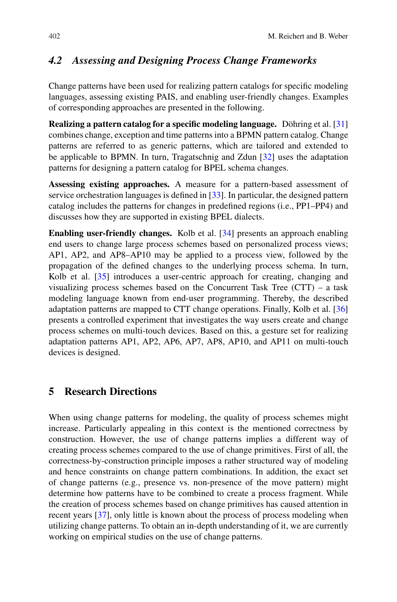# *4.2 Assessing and Designing Process Change Frameworks*

Change patterns have been used for realizing pattern catalogs for specific modeling languages, assessing existing PAIS, and enabling user-friendly changes. Examples of corresponding approaches are presented in the following.

**Realizing a pattern catalog for a specific modeling language.** Döhring et al. [[31\]](#page-7-6) combines change, exception and time patterns into a BPMN pattern catalog. Change patterns are referred to as generic patterns, which are tailored and extended to be applicable to BPMN. In turn, Tragatschnig and Zdun [\[32\]](#page-7-7) uses the adaptation patterns for designing a pattern catalog for BPEL schema changes.

**Assessing existing approaches.** A measure for a pattern-based assessment of service orchestration languages is defined in [\[33\]](#page-7-8). In particular, the designed pattern catalog includes the patterns for changes in predefined regions (i.e., PP1–PP4) and discusses how they are supported in existing BPEL dialects.

**Enabling user-friendly changes.** Kolb et al. [\[34\]](#page-7-9) presents an approach enabling end users to change large process schemes based on personalized process views; AP1, AP2, and AP8–AP10 may be applied to a process view, followed by the propagation of the defined changes to the underlying process schema. In turn, Kolb et al. [\[35\]](#page-7-10) introduces a user-centric approach for creating, changing and visualizing process schemes based on the Concurrent Task Tree (CTT) – a task modeling language known from end-user programming. Thereby, the described adaptation patterns are mapped to CTT change operations. Finally, Kolb et al. [\[36\]](#page-7-11) presents a controlled experiment that investigates the way users create and change process schemes on multi-touch devices. Based on this, a gesture set for realizing adaptation patterns AP1, AP2, AP6, AP7, AP8, AP10, and AP11 on multi-touch devices is designed.

## **5 Research Directions**

When using change patterns for modeling, the quality of process schemes might increase. Particularly appealing in this context is the mentioned correctness by construction. However, the use of change patterns implies a different way of creating process schemes compared to the use of change primitives. First of all, the correctness-by-construction principle imposes a rather structured way of modeling and hence constraints on change pattern combinations. In addition, the exact set of change patterns (e.g., presence vs. non-presence of the move pattern) might determine how patterns have to be combined to create a process fragment. While the creation of process schemes based on change primitives has caused attention in recent years [\[37\]](#page-7-12), only little is known about the process of process modeling when utilizing change patterns. To obtain an in-depth understanding of it, we are currently working on empirical studies on the use of change patterns.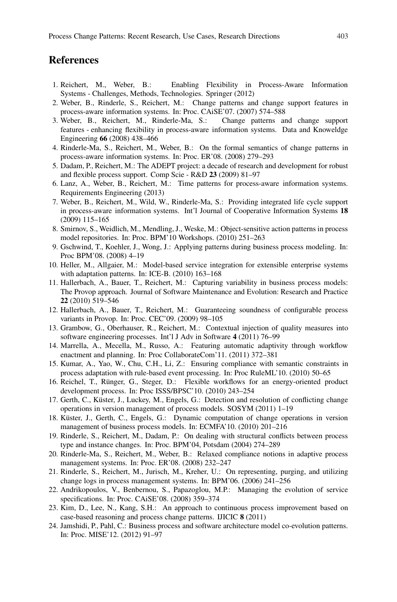#### **References**

- <span id="page-6-0"></span>1. Reichert, M., Weber, B.: Enabling Flexibility in Process-Aware Information Systems - Challenges, Methods, Technologies. Springer (2012)
- <span id="page-6-1"></span>2. Weber, B., Rinderle, S., Reichert, M.: Change patterns and change support features in process-aware information systems. In: Proc. CAiSE'07. (2007) 574–588
- <span id="page-6-2"></span>3. Weber, B., Reichert, M., Rinderle-Ma, S.: Change patterns and change support features - enhancing flexibility in process-aware information systems. Data and Knoweldge Engineering **66** (2008) 438–466
- <span id="page-6-3"></span>4. Rinderle-Ma, S., Reichert, M., Weber, B.: On the formal semantics of change patterns in process-aware information systems. In: Proc. ER'08. (2008) 279–293
- <span id="page-6-4"></span>5. Dadam, P., Reichert, M.: The ADEPT project: a decade of research and development for robust and flexible process support. Comp Scie - R&D **23** (2009) 81–97
- <span id="page-6-5"></span>6. Lanz, A., Weber, B., Reichert, M.: Time patterns for process-aware information systems. Requirements Engineering (2013)
- <span id="page-6-6"></span>7. Weber, B., Reichert, M., Wild, W., Rinderle-Ma, S.: Providing integrated life cycle support in process-aware information systems. Int'l Journal of Cooperative Information Systems **18** (2009) 115–165
- <span id="page-6-7"></span>8. Smirnov, S., Weidlich, M., Mendling, J., Weske, M.: Object-sensitive action patterns in process model repositories. In: Proc. BPM'10 Workshops. (2010) 251–263
- <span id="page-6-8"></span>9. Gschwind, T., Koehler, J., Wong, J.: Applying patterns during business process modeling. In: Proc BPM'08. (2008) 4–19
- <span id="page-6-9"></span>10. Heller, M., Allgaier, M.: Model-based service integration for extensible enterprise systems with adaptation patterns. In: ICE-B. (2010) 163–168
- <span id="page-6-10"></span>11. Hallerbach, A., Bauer, T., Reichert, M.: Capturing variability in business process models: The Provop approach. Journal of Software Maintenance and Evolution: Research and Practice **22** (2010) 519–546
- <span id="page-6-11"></span>12. Hallerbach, A., Bauer, T., Reichert, M.: Guaranteeing soundness of configurable process variants in Provop. In: Proc. CEC'09. (2009) 98–105
- <span id="page-6-12"></span>13. Grambow, G., Oberhauser, R., Reichert, M.: Contextual injection of quality measures into software engineering processes. Int'l J Adv in Software **4** (2011) 76–99
- <span id="page-6-13"></span>14. Marrella, A., Mecella, M., Russo, A.: Featuring automatic adaptivity through workflow enactment and planning. In: Proc CollaborateCom'11. (2011) 372–381
- <span id="page-6-14"></span>15. Kumar, A., Yao, W., Chu, C.H., Li, Z.: Ensuring compliance with semantic constraints in process adaptation with rule-based event processing. In: Proc RuleML'10. (2010) 50–65
- <span id="page-6-15"></span>16. Reichel, T., Rünger, G., Steger, D.: Flexible workflows for an energy-oriented product development process. In: Proc ISSS/BPSC'10. (2010) 243–254
- <span id="page-6-16"></span>17. Gerth, C., Küster, J., Luckey, M., Engels, G.: Detection and resolution of conflicting change operations in version management of process models. SOSYM (2011) 1–19
- <span id="page-6-17"></span>18. Küster, J., Gerth, C., Engels, G.: Dynamic computation of change operations in version management of business process models. In: ECMFA'10. (2010) 201–216
- <span id="page-6-18"></span>19. Rinderle, S., Reichert, M., Dadam, P.: On dealing with structural conflicts between process type and instance changes. In: Proc. BPM'04, Potsdam (2004) 274–289
- 20. Rinderle-Ma, S., Reichert, M., Weber, B.: Relaxed compliance notions in adaptive process management systems. In: Proc. ER'08. (2008) 232–247
- <span id="page-6-19"></span>21. Rinderle, S., Reichert, M., Jurisch, M., Kreher, U.: On representing, purging, and utilizing change logs in process management systems. In: BPM'06. (2006) 241–256
- <span id="page-6-20"></span>22. Andrikopoulos, V., Benbernou, S., Papazoglou, M.P.: Managing the evolution of service specifications. In: Proc. CAiSE'08. (2008) 359–374
- <span id="page-6-21"></span>23. Kim, D., Lee, N., Kang, S.H.: An approach to continuous process improvement based on case-based reasoning and process change patterns. IJICIC **8** (2011)
- <span id="page-6-22"></span>24. Jamshidi, P., Pahl, C.: Business process and software architecture model co-evolution patterns. In: Proc. MISE'12. (2012) 91–97